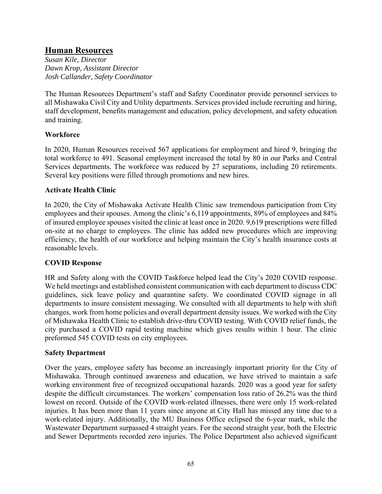# **Human Resources**

*Susan Kile, Director Dawn Krop, Assistant Director Josh Callander, Safety Coordinator* 

The Human Resources Department's staff and Safety Coordinator provide personnel services to all Mishawaka Civil City and Utility departments. Services provided include recruiting and hiring, staff development, benefits management and education, policy development, and safety education and training.

## **Workforce**

In 2020, Human Resources received 567 applications for employment and hired 9, bringing the total workforce to 491. Seasonal employment increased the total by 80 in our Parks and Central Services departments. The workforce was reduced by 27 separations, including 20 retirements. Several key positions were filled through promotions and new hires.

## **Activate Health Clinic**

In 2020, the City of Mishawaka Activate Health Clinic saw tremendous participation from City employees and their spouses. Among the clinic's 6,119 appointments, 89% of employees and 84% of insured employee spouses visited the clinic at least once in 2020. 9,619 prescriptions were filled on-site at no charge to employees. The clinic has added new procedures which are improving efficiency, the health of our workforce and helping maintain the City's health insurance costs at reasonable levels.

## **COVID Response**

HR and Safety along with the COVID Taskforce helped lead the City's 2020 COVID response. We held meetings and established consistent communication with each department to discuss CDC guidelines, sick leave policy and quarantine safety. We coordinated COVID signage in all departments to insure consistent messaging. We consulted with all departments to help with shift changes, work from home policies and overall department density issues. We worked with the City of Mishawaka Health Clinic to establish drive-thru COVID testing. With COVID relief funds, the city purchased a COVID rapid testing machine which gives results within 1 hour. The clinic preformed 545 COVID tests on city employees.

### **Safety Department**

Over the years, employee safety has become an increasingly important priority for the City of Mishawaka. Through continued awareness and education, we have strived to maintain a safe working environment free of recognized occupational hazards. 2020 was a good year for safety despite the difficult circumstances. The workers' compensation loss ratio of 26.2% was the third lowest on record. Outside of the COVID work-related illnesses, there were only 15 work-related injuries. It has been more than 11 years since anyone at City Hall has missed any time due to a work-related injury. Additionally, the MU Business Office eclipsed the 6-year mark, while the Wastewater Department surpassed 4 straight years. For the second straight year, both the Electric and Sewer Departments recorded zero injuries. The Police Department also achieved significant